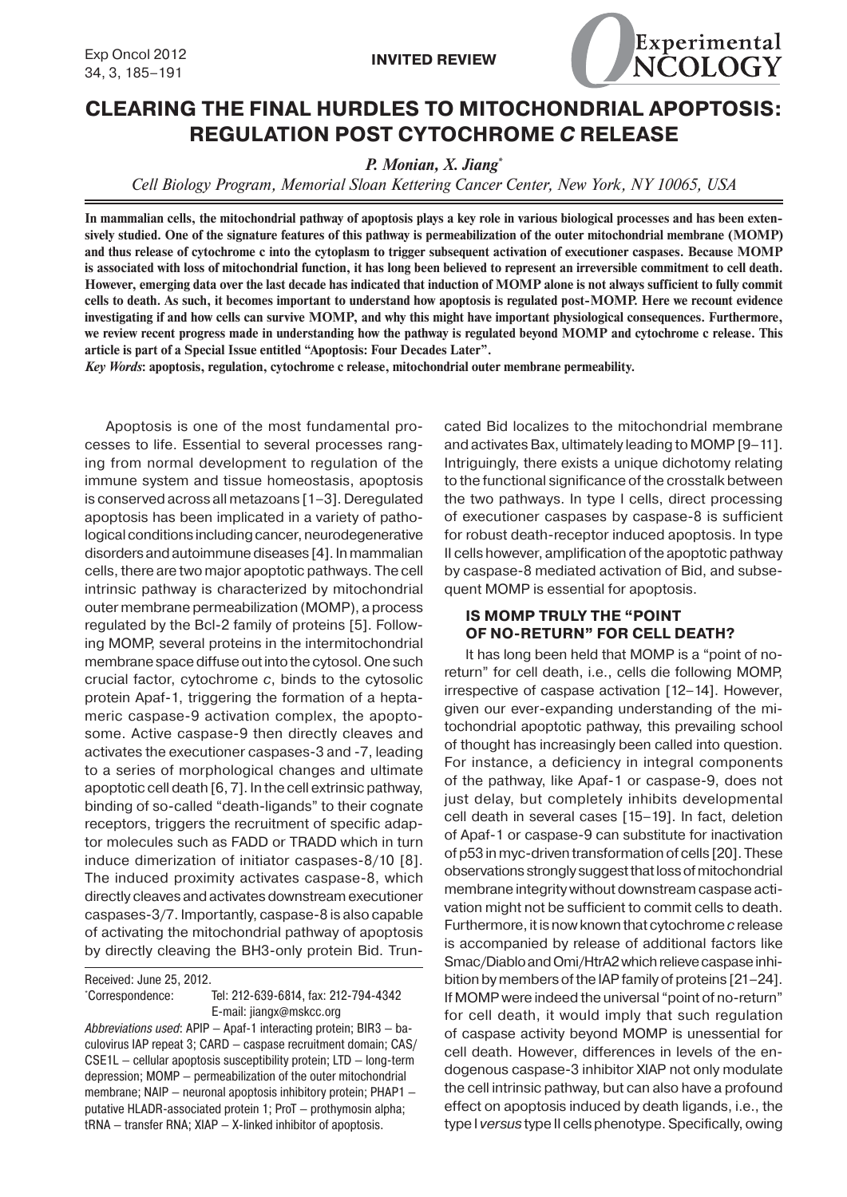

# **CLEARING THE FINAL HURDLES TO MITOCHONDRIAL APOPTOSIS: REGULATION POST CYTOCHROME** *C* **RELEASE**

*P. Monian, X. Jiang\**

*Cell Biology Program, Memorial Sloan Kettering Cancer Center, New York, NY 10065, USA*

**In mammalian cells, the mitochondrial pathway of apoptosis plays a key role in various biological processes and has been extensively studied. One of the signature features of this pathway is permeabilization of the outer mitochondrial membrane (MOMP) and thus release of cytochrome c into the cytoplasm to trigger subsequent activation of executioner caspases. Because MOMP is associated with loss of mitochondrial function, it has long been believed to represent an irreversible commitment to cell death. However, emerging data over the last decade has indicated that induction of MOMP alone is not always sufficient to fully commit cells to death. As such, it becomes important to understand how apoptosis is regulated post-MOMP. Here we recount evidence investigating if and how cells can survive MOMP, and why this might have important physiological consequences. Furthermore, we review recent progress made in understanding how the pathway is regulated beyond MOMP and cytochrome c release. This article is part of a Special Issue entitled "Apoptosis: Four Decades Later".**

*Key Words***: apoptosis, regulation, cytochrome c release, mitochondrial outer membrane permeability.**

Apoptosis is one of the most fundamental processes to life. Essential to several processes ranging from normal development to regulation of the immune system and tissue homeostasis, apoptosis is conserved across all metazoans [1–3]. Deregulated apoptosis has been implicated in a variety of pathological conditions including cancer, neurodegenerative disorders and autoimmune diseases [4]. In mammalian cells, there are two major apoptotic pathways. The cell intrinsic pathway is characterized by mitochondrial outer membrane permeabilization (MOMP), a process regulated by the Bcl-2 family of proteins [5]. Following MOMP, several proteins in the intermitochondrial membrane space diffuse out into the cytosol. One such crucial factor, cytochrome *c*, binds to the cytosolic protein Apaf-1, triggering the formation of a heptameric caspase-9 activation complex, the apoptosome. Active caspase-9 then directly cleaves and activates the executioner caspases-3 and -7, leading to a series of morphological changes and ultimate apoptotic cell death [6, 7]. In the cell extrinsic pathway, binding of so-called "death-ligands" to their cognate receptors, triggers the recruitment of specific adaptor molecules such as FADD or TRADD which in turn induce dimerization of initiator caspases-8/10 [8]. The induced proximity activates caspase-8, which directly cleaves and activates downstream executioner caspases-3/7. Importantly, caspase-8 is also capable of activating the mitochondrial pathway of apoptosis by directly cleaving the BH3-only protein Bid. Trun-

Received: June 25, 2012.

\*Correspondence: Tel: 212-639-6814, fax: 212-794-4342 E-mail: jiangx@mskcc.org

Abbreviations used: APIP — Apaf-1 interacting protein; BIR3 — baculovirus IAP repeat 3; CARD - caspase recruitment domain; CAS/ CSE1L — cellular apoptosis susceptibility protein; LTD — long-term depression; MOMP — permeabilization of the outer mitochondrial membrane; NAIP — neuronal apoptosis inhibitory protein; PHAP1 putative HLADR-associated protein 1; ProT — prothymosin alpha; tRNA — transfer RNA; XIAP — X-linked inhibitor of apoptosis.

cated Bid localizes to the mitochondrial membrane and activates Bax, ultimately leading to MOMP [9–11]. Intriguingly, there exists a unique dichotomy relating to the functional significance of the crosstalk between the two pathways. In type I cells, direct processing of executioner caspases by caspase-8 is sufficient for robust death-receptor induced apoptosis. In type II cells however, amplification of the apoptotic pathway by caspase-8 mediated activation of Bid, and subsequent MOMP is essential for apoptosis.

## **IS MOMP TRULY THE "POINT OF NO-RETURN" FOR CELL DEATH?**

It has long been held that MOMP is a "point of noreturn" for cell death, i.e., cells die following MOMP, irrespective of caspase activation [12–14]. However, given our ever-expanding understanding of the mitochondrial apoptotic pathway, this prevailing school of thought has increasingly been called into question. For instance, a deficiency in integral components of the pathway, like Apaf-1 or caspase-9, does not just delay, but completely inhibits developmental cell death in several cases [15–19]. In fact, deletion of Apaf-1 or caspase-9 can substitute for inactivation of p53 in myc-driven transformation of cells [20]. These observations strongly suggest that loss of mitochondrial membrane integrity without downstream caspase activation might not be sufficient to commit cells to death. Furthermore, it is now known that cytochrome *c* release is accompanied by release of additional factors like Smac/Diablo and Omi/HtrA2 which relieve caspase inhibition by members of the IAP family of proteins [21–24]. If MOMP were indeed the universal "point of no-return" for cell death, it would imply that such regulation of caspase activity beyond MOMP is unessential for cell death. However, differences in levels of the endogenous caspase-3 inhibitor XIAP not only modulate the cell intrinsic pathway, but can also have a profound effect on apoptosis induced by death ligands, i.e., the type I *versus* type II cells phenotype. Specifically, owing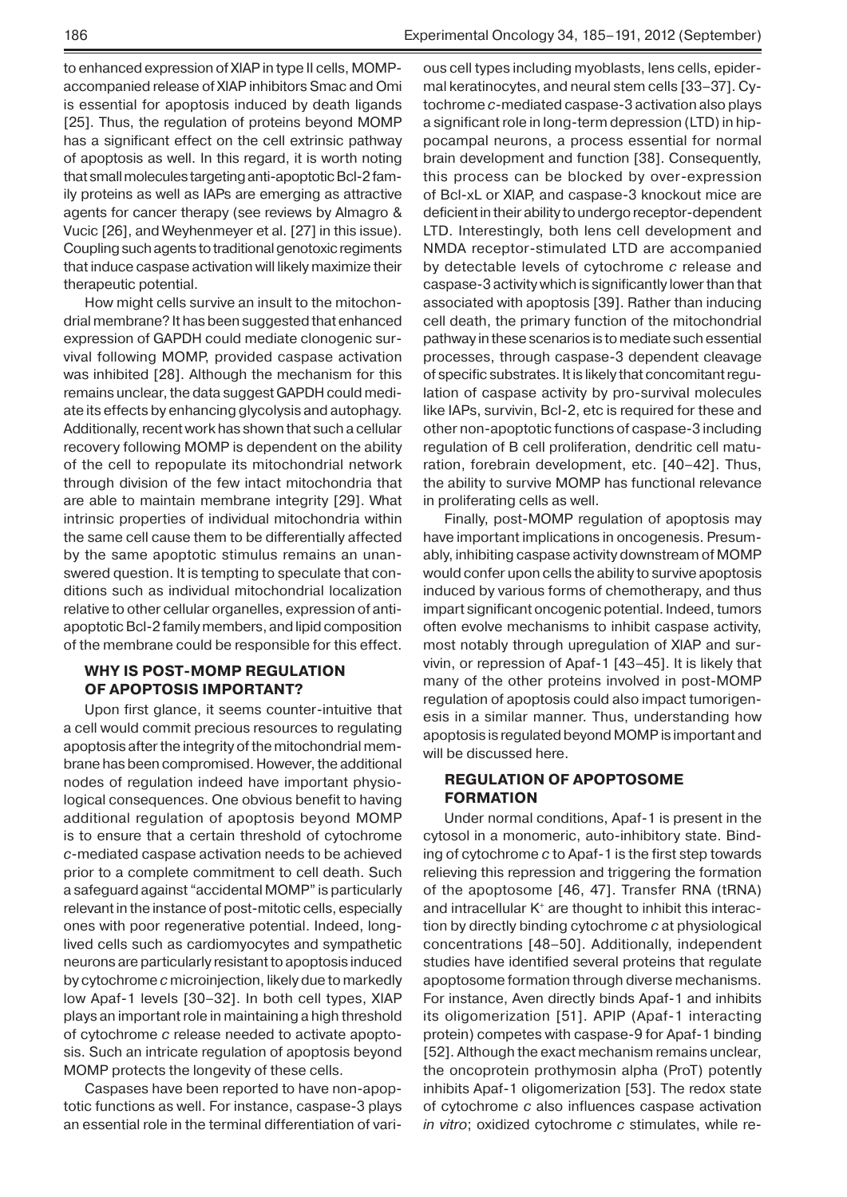agents for cancer therapy (see reviews by Almagro & Vucic [26], and Weyhenmeyer et al. [27] in this issue). Coupling such agents to traditional genotoxic regiments that induce caspase activation will likely maximize their therapeutic potential.

How might cells survive an insult to the mitochondrial membrane? It has been suggested that enhanced expression of GAPDH could mediate clonogenic survival following MOMP, provided caspase activation was inhibited [28]. Although the mechanism for this remains unclear, the data suggest GAPDH could mediate its effects by enhancing glycolysis and autophagy. Additionally, recent work has shown that such a cellular recovery following MOMP is dependent on the ability of the cell to repopulate its mitochondrial network through division of the few intact mitochondria that are able to maintain membrane integrity [29]. What intrinsic properties of individual mitochondria within the same cell cause them to be differentially affected by the same apoptotic stimulus remains an unanswered question. It is tempting to speculate that conditions such as individual mitochondrial localization relative to other cellular organelles, expression of antiapoptotic Bcl-2 family members, and lipid composition of the membrane could be responsible for this effect.

## **WHY IS POST-MOMP REGULATION OF APOPTOSIS IMPORTANT?**

Upon first glance, it seems counter-intuitive that a cell would commit precious resources to regulating apoptosis after the integrity of the mitochondrial membrane has been compromised. However, the additional nodes of regulation indeed have important physiological consequences. One obvious benefit to having additional regulation of apoptosis beyond MOMP is to ensure that a certain threshold of cytochrome *c*-mediated caspase activation needs to be achieved prior to a complete commitment to cell death. Such a safeguard against "accidental MOMP" is particularly relevant in the instance of post-mitotic cells, especially ones with poor regenerative potential. Indeed, longlived cells such as cardiomyocytes and sympathetic neurons are particularly resistant to apoptosis induced by cytochrome *c* microinjection, likely due to markedly low Apaf-1 levels [30–32]. In both cell types, XIAP plays an important role in maintaining a high threshold of cytochrome *c* release needed to activate apoptosis. Such an intricate regulation of apoptosis beyond MOMP protects the longevity of these cells.

Caspases have been reported to have non-apoptotic functions as well. For instance, caspase-3 plays an essential role in the terminal differentiation of various cell types including myoblasts, lens cells, epidermal keratinocytes, and neural stem cells [33–37]. Cytochrome *c*-mediated caspase-3 activation also plays a significant role in long-term depression (LTD) in hippocampal neurons, a process essential for normal brain development and function [38]. Consequently, this process can be blocked by over-expression of Bcl-xL or XIAP, and caspase-3 knockout mice are deficient in their ability to undergo receptor-dependent LTD. Interestingly, both lens cell development and NMDA receptor-stimulated LTD are accompanied by detectable levels of cytochrome *c* release and caspase-3 activity which is significantly lower than that associated with apoptosis [39]. Rather than inducing cell death, the primary function of the mitochondrial pathway in these scenarios is to mediate such essential processes, through caspase-3 dependent cleavage of specific substrates. It is likely that concomitant regulation of caspase activity by pro-survival molecules like IAPs, survivin, Bcl-2, etc is required for these and other non-apoptotic functions of caspase-3 including regulation of B cell proliferation, dendritic cell maturation, forebrain development, etc. [40–42]. Thus, the ability to survive MOMP has functional relevance in proliferating cells as well.

Finally, post-MOMP regulation of apoptosis may have important implications in oncogenesis. Presumably, inhibiting caspase activity downstream of MOMP would confer upon cells the ability to survive apoptosis induced by various forms of chemotherapy, and thus impart significant oncogenic potential. Indeed, tumors often evolve mechanisms to inhibit caspase activity, most notably through upregulation of XIAP and survivin, or repression of Apaf-1 [43–45]. It is likely that many of the other proteins involved in post-MOMP regulation of apoptosis could also impact tumorigenesis in a similar manner. Thus, understanding how apoptosis is regulated beyond MOMP is important and will be discussed here.

## **REGULATION OF APOPTOSOME FORMATION**

Under normal conditions, Apaf-1 is present in the cytosol in a monomeric, auto-inhibitory state. Binding of cytochrome *c* to Apaf-1 is the first step towards relieving this repression and triggering the formation of the apoptosome [46, 47]. Transfer RNA (tRNA) and intracellular K<sup>+</sup> are thought to inhibit this interaction by directly binding cytochrome *c* at physiological concentrations [48–50]. Additionally, independent studies have identified several proteins that regulate apoptosome formation through diverse mechanisms. For instance, Aven directly binds Apaf-1 and inhibits its oligomerization [51]. APIP (Apaf-1 interacting protein) competes with caspase-9 for Apaf-1 binding [52]. Although the exact mechanism remains unclear, the oncoprotein prothymosin alpha (ProT) potently inhibits Apaf-1 oligomerization [53]. The redox state of cytochrome *c* also influences caspase activation *in vitro*; oxidized cytochrome *c* stimulates, while re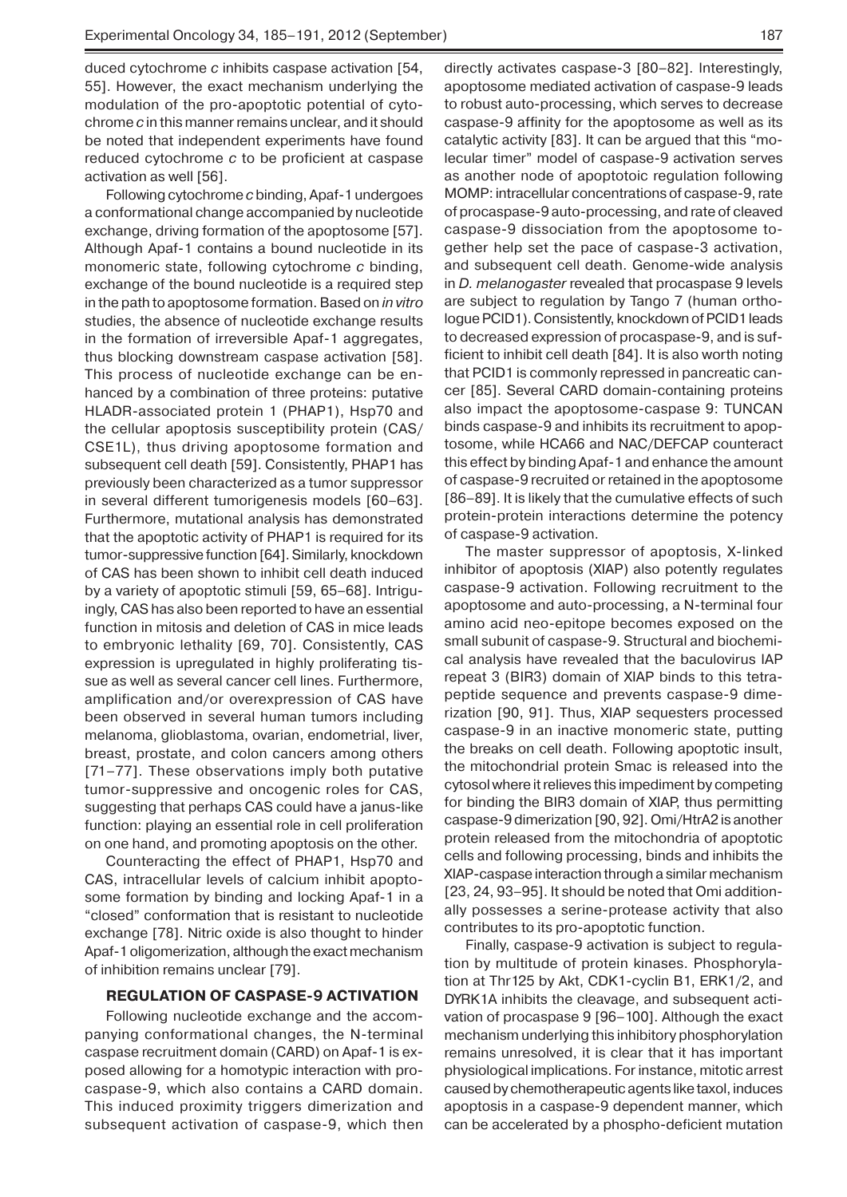duced cytochrome *c* inhibits caspase activation [54, 55]. However, the exact mechanism underlying the modulation of the pro-apoptotic potential of cytochrome *c* in this manner remains unclear, and it should be noted that independent experiments have found reduced cytochrome *c* to be proficient at caspase activation as well [56].

Following cytochrome *c* binding, Apaf-1 undergoes a conformational change accompanied by nucleotide exchange, driving formation of the apoptosome [57]. Although Apaf-1 contains a bound nucleotide in its monomeric state, following cytochrome *c* binding, exchange of the bound nucleotide is a required step in the path to apoptosome formation. Based on *in vitro* studies, the absence of nucleotide exchange results in the formation of irreversible Apaf-1 aggregates, thus blocking downstream caspase activation [58]. This process of nucleotide exchange can be enhanced by a combination of three proteins: putative HLADR-associated protein 1 (PHAP1), Hsp70 and the cellular apoptosis susceptibility protein (CAS/ CSE1L), thus driving apoptosome formation and subsequent cell death [59]. Consistently, PHAP1 has previously been characterized as a tumor suppressor in several different tumorigenesis models [60–63]. Furthermore, mutational analysis has demonstrated that the apoptotic activity of PHAP1 is required for its tumor-suppressive function [64]. Similarly, knockdown of CAS has been shown to inhibit cell death induced by a variety of apoptotic stimuli [59, 65–68]. Intriguingly, CAS has also been reported to have an essential function in mitosis and deletion of CAS in mice leads to embryonic lethality [69, 70]. Consistently, CAS expression is upregulated in highly proliferating tissue as well as several cancer cell lines. Furthermore, amplification and/or overexpression of CAS have been observed in several human tumors including melanoma, glioblastoma, ovarian, endometrial, liver, breast, prostate, and colon cancers among others [71–77]. These observations imply both putative tumor-suppressive and oncogenic roles for CAS, suggesting that perhaps CAS could have a janus-like function: playing an essential role in cell proliferation on one hand, and promoting apoptosis on the other.

Counteracting the effect of PHAP1, Hsp70 and CAS, intracellular levels of calcium inhibit apoptosome formation by binding and locking Apaf-1 in a "closed" conformation that is resistant to nucleotide exchange [78]. Nitric oxide is also thought to hinder Apaf-1 oligomerization, although the exact mechanism of inhibition remains unclear [79].

#### **REGULATION OF CASPASE-9 ACTIVATION**

Following nucleotide exchange and the accompanying conformational changes, the N-terminal caspase recruitment domain (CARD) on Apaf-1 is exposed allowing for a homotypic interaction with procaspase-9, which also contains a CARD domain. This induced proximity triggers dimerization and subsequent activation of caspase-9, which then

directly activates caspase-3 [80–82]. Interestingly, apoptosome mediated activation of caspase-9 leads to robust auto-processing, which serves to decrease caspase-9 affinity for the apoptosome as well as its catalytic activity [83]. It can be argued that this "molecular timer" model of caspase-9 activation serves as another node of apoptotoic regulation following MOMP: intracellular concentrations of caspase-9, rate of procaspase-9 auto-processing, and rate of cleaved caspase-9 dissociation from the apoptosome together help set the pace of caspase-3 activation, and subsequent cell death. Genome-wide analysis in *D. melanogaster* revealed that procaspase 9 levels are subject to regulation by Tango 7 (human orthologue PCID1). Consistently, knockdown of PCID1 leads to decreased expression of procaspase-9, and is sufficient to inhibit cell death [84]. It is also worth noting that PCID1 is commonly repressed in pancreatic cancer [85]. Several CARD domain-containing proteins also impact the apoptosome-caspase 9: TUNCAN binds caspase-9 and inhibits its recruitment to apoptosome, while HCA66 and NAC/DEFCAP counteract this effect by binding Apaf-1 and enhance the amount of caspase-9 recruited or retained in the apoptosome [86–89]. It is likely that the cumulative effects of such protein-protein interactions determine the potency of caspase-9 activation.

The master suppressor of apoptosis, X-linked inhibitor of apoptosis (XIAP) also potently regulates caspase-9 activation. Following recruitment to the apoptosome and auto-processing, a N-terminal four amino acid neo-epitope becomes exposed on the small subunit of caspase-9. Structural and biochemical analysis have revealed that the baculovirus IAP repeat 3 (BIR3) domain of XIAP binds to this tetrapeptide sequence and prevents caspase-9 dimerization [90, 91]. Thus, XIAP sequesters processed caspase-9 in an inactive monomeric state, putting the breaks on cell death. Following apoptotic insult, the mitochondrial protein Smac is released into the cytosol where it relieves this impediment by competing for binding the BIR3 domain of XIAP, thus permitting caspase-9 dimerization [90, 92]. Omi/HtrA2 is another protein released from the mitochondria of apoptotic cells and following processing, binds and inhibits the XIAP-caspase interaction through a similar mechanism [23, 24, 93–95]. It should be noted that Omi additionally possesses a serine-protease activity that also contributes to its pro-apoptotic function.

Finally, caspase-9 activation is subject to regulation by multitude of protein kinases. Phosphorylation at Thr125 by Akt, CDK1-cyclin B1, ERK1/2, and DYRK1A inhibits the cleavage, and subsequent activation of procaspase 9 [96–100]. Although the exact mechanism underlying this inhibitory phosphorylation remains unresolved, it is clear that it has important physiological implications. For instance, mitotic arrest caused by chemotherapeutic agents like taxol, induces apoptosis in a caspase-9 dependent manner, which can be accelerated by a phospho-deficient mutation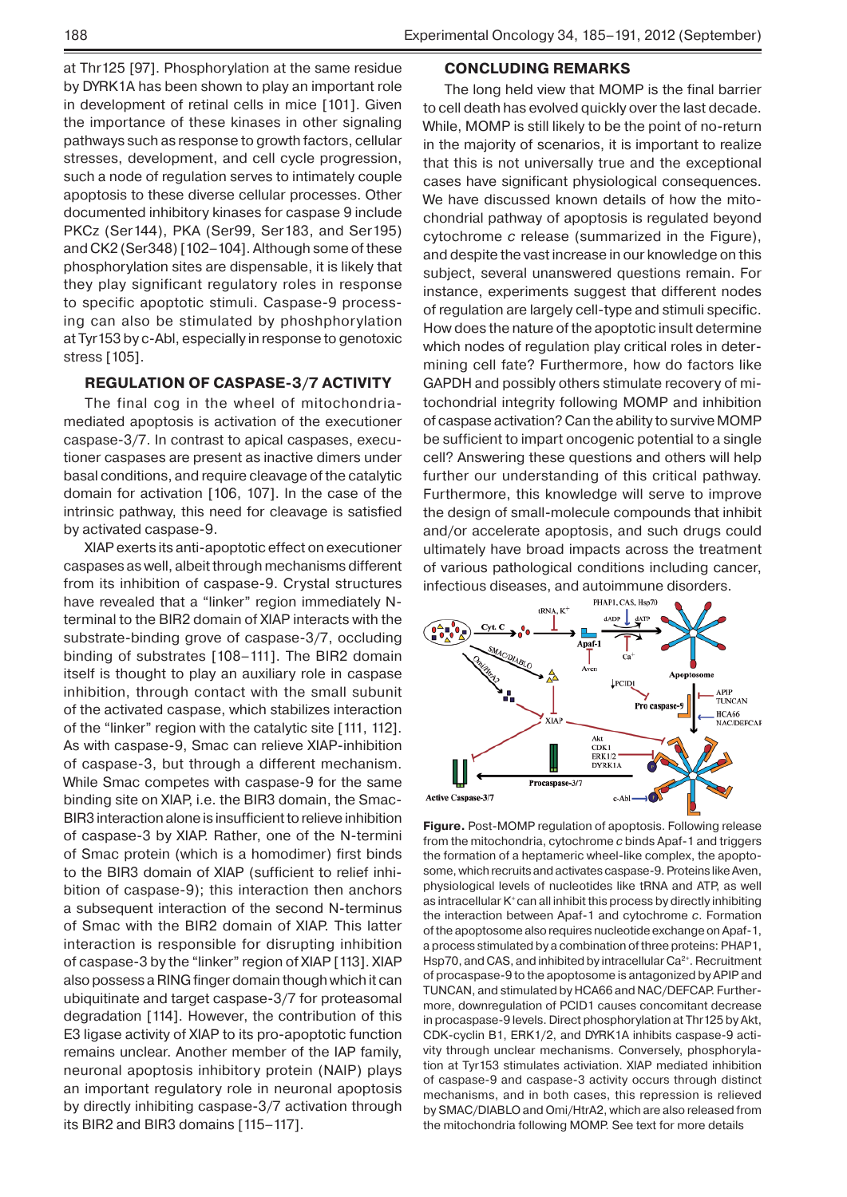at Thr125 [97]. Phosphorylation at the same residue by DYRK1A has been shown to play an important role in development of retinal cells in mice [101]. Given the importance of these kinases in other signaling pathways such as response to growth factors, cellular stresses, development, and cell cycle progression, such a node of regulation serves to intimately couple apoptosis to these diverse cellular processes. Other documented inhibitory kinases for caspase 9 include PKCz (Ser144), PKA (Ser99, Ser183, and Ser195) and CK2 (Ser348) [102–104]. Although some of these phosphorylation sites are dispensable, it is likely that they play significant regulatory roles in response to specific apoptotic stimuli. Caspase-9 processing can also be stimulated by phoshphorylation at Tyr153 by c-Abl, especially in response to genotoxic stress [105].

## **REGULATION OF CASPASE-3/7 ACTIVITY**

The final cog in the wheel of mitochondriamediated apoptosis is activation of the executioner caspase-3/7. In contrast to apical caspases, executioner caspases are present as inactive dimers under basal conditions, and require cleavage of the catalytic domain for activation [106, 107]. In the case of the intrinsic pathway, this need for cleavage is satisfied by activated caspase-9.

XIAP exerts its anti-apoptotic effect on executioner caspases as well, albeit through mechanisms different from its inhibition of caspase-9. Crystal structures have revealed that a "linker" region immediately Nterminal to the BIR2 domain of XIAP interacts with the substrate-binding grove of caspase-3/7, occluding binding of substrates [108–111]. The BIR2 domain itself is thought to play an auxiliary role in caspase inhibition, through contact with the small subunit of the activated caspase, which stabilizes interaction of the "linker" region with the catalytic site [111, 112]. As with caspase-9, Smac can relieve XIAP-inhibition of caspase-3, but through a different mechanism. While Smac competes with caspase-9 for the same binding site on XIAP, i.e. the BIR3 domain, the Smac-BIR3 interaction alone is insufficient to relieve inhibition of caspase-3 by XIAP. Rather, one of the N-termini of Smac protein (which is a homodimer) first binds to the BIR3 domain of XIAP (sufficient to relief inhibition of caspase-9); this interaction then anchors a subsequent interaction of the second N-terminus of Smac with the BIR2 domain of XIAP. This latter interaction is responsible for disrupting inhibition of caspase-3 by the "linker" region of XIAP [113]. XIAP also possess a RING finger domain though which it can ubiquitinate and target caspase-3/7 for proteasomal degradation [114]. However, the contribution of this E3 ligase activity of XIAP to its pro-apoptotic function remains unclear. Another member of the IAP family, neuronal apoptosis inhibitory protein (NAIP) plays an important regulatory role in neuronal apoptosis by directly inhibiting caspase-3/7 activation through its BIR2 and BIR3 domains [115–117].

### **CONCLUDING REMARKS**

The long held view that MOMP is the final barrier to cell death has evolved quickly over the last decade. While, MOMP is still likely to be the point of no-return in the majority of scenarios, it is important to realize that this is not universally true and the exceptional cases have significant physiological consequences. We have discussed known details of how the mitochondrial pathway of apoptosis is regulated beyond cytochrome *c* release (summarized in the Figure), and despite the vast increase in our knowledge on this subject, several unanswered questions remain. For instance, experiments suggest that different nodes of regulation are largely cell-type and stimuli specific. How does the nature of the apoptotic insult determine which nodes of regulation play critical roles in determining cell fate? Furthermore, how do factors like GAPDH and possibly others stimulate recovery of mitochondrial integrity following MOMP and inhibition of caspase activation? Can the ability to survive MOMP be sufficient to impart oncogenic potential to a single cell? Answering these questions and others will help further our understanding of this critical pathway. Furthermore, this knowledge will serve to improve the design of small-molecule compounds that inhibit and/or accelerate apoptosis, and such drugs could ultimately have broad impacts across the treatment of various pathological conditions including cancer, infectious diseases, and autoimmune disorders.



**Figure.** Post-MOMP regulation of apoptosis. Following release from the mitochondria, cytochrome *c* binds Apaf-1 and triggers the formation of a heptameric wheel-like complex, the apoptosome, which recruits and activates caspase-9. Proteins like Aven, physiological levels of nucleotides like tRNA and ATP, as well as intracellular K<sup>+</sup> can all inhibit this process by directly inhibiting the interaction between Apaf-1 and cytochrome *c*. Formation of the apoptosome also requires nucleotide exchange on Apaf-1, a process stimulated by a combination of three proteins: PHAP1, Hsp70, and CAS, and inhibited by intracellular Ca<sup>2+</sup>. Recruitment of procaspase-9 to the apoptosome is antagonized by APIP and TUNCAN, and stimulated by HCA66 and NAC/DEFCAP. Furthermore, downregulation of PCID1 causes concomitant decrease in procaspase-9 levels. Direct phosphorylation at Thr125 by Akt, CDK-cyclin B1, ERK1/2, and DYRK1A inhibits caspase-9 activity through unclear mechanisms. Conversely, phosphorylation at Tyr153 stimulates activiation. XIAP mediated inhibition of caspase-9 and caspase-3 activity occurs through distinct mechanisms, and in both cases, this repression is relieved by SMAC/DIABLO and Omi/HtrA2, which are also released from the mitochondria following MOMP. See text for more details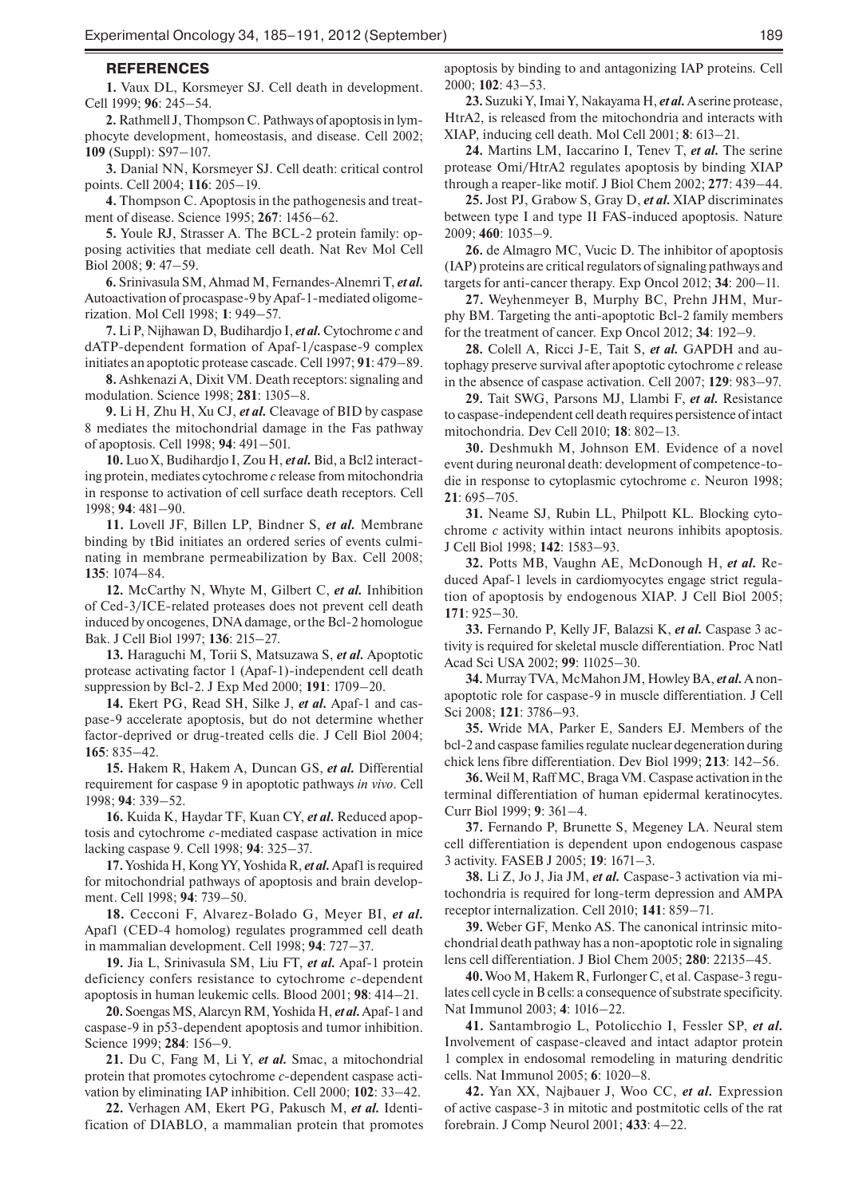#### **REFERENCES**

**1.** Vaux DL, Korsmeyer SJ. Cell death in development. Cell 1999; **96**: 245–54.

**2.** Rathmell J, Thompson C. Pathways of apoptosis in lymphocyte development, homeostasis, and disease. Cell 2002; **109** (Suppl): S97–107.

**3.** Danial NN, Korsmeyer SJ. Cell death: critical control points. Cell 2004; **116**: 205–19.

**4.** Thompson C. Apoptosis in the pathogenesis and treatment of disease. Science 1995; **267**: 1456–62.

**5.** Youle RJ, Strasser A. The BCL-2 protein family: opposing activities that mediate cell death. Nat Rev Mol Cell Biol 2008; **9**: 47–59.

**6.** Srinivasula SM, Ahmad M, Fernandes-Alnemri T, *et al.*  Autoactivation of procaspase-9 by Apaf-1-mediated oligomerization. Mol Cell 1998; **1**: 949–57.

**7.** Li P, Nijhawan D, Budihardjo I, *et al.* Cytochrome *c* and dATP-dependent formation of Apaf-1/caspase-9 complex initiates an apoptotic protease cascade. Cell 1997; **91**: 479–89.

**8.** Ashkenazi A, Dixit VM. Death receptors: signaling and modulation. Science 1998; **281**: 1305–8.

**9.** Li H, Zhu H, Xu CJ, *et al.* Cleavage of BID by caspase 8 mediates the mitochondrial damage in the Fas pathway of apoptosis. Cell 1998; **94**: 491–501.

**10.** Luo X, Budihardjo I, Zou H, *et al.* Bid, a Bcl2 interacting protein, mediates cytochrome *c* release from mitochondria in response to activation of cell surface death receptors. Cell 1998; **94**: 481–90.

**11.** Lovell JF, Billen LP, Bindner S, *et al.* Membrane binding by tBid initiates an ordered series of events culminating in membrane permeabilization by Bax. Cell 2008; **135**: 1074–84.

**12.** McCarthy N, Whyte M, Gilbert C, *et al.* Inhibition of Ced-3/ICE-related proteases does not prevent cell death induced by oncogenes, DNA damage, or the Bcl-2 homologue Bak. J Cell Biol 1997; **136**: 215–27.

**13.** Haraguchi M, Torii S, Matsuzawa S, *et al.* Apoptotic protease activating factor 1 (Apaf-1)-independent cell death suppression by Bcl-2. J Exp Med 2000; **191**: 1709–20.

**14.** Ekert PG, Read SH, Silke J, *et al.* Apaf-1 and caspase-9 accelerate apoptosis, but do not determine whether factor-deprived or drug-treated cells die. J Cell Biol 2004; **165**: 835–42.

**15.** Hakem R, Hakem A, Duncan GS, *et al.* Differential requirement for caspase 9 in apoptotic pathways *in vivo*. Cell 1998; **94**: 339–52.

**16.** Kuida K, Haydar TF, Kuan CY, *et al.* Reduced apoptosis and cytochrome *c*-mediated caspase activation in mice lacking caspase 9. Cell 1998; **94**: 325–37.

**17.** Yoshida H, Kong YY, Yoshida R, *et al.* Apaf1 is required for mitochondrial pathways of apoptosis and brain development. Cell 1998; **94**: 739–50.

**18.** Cecconi F, Alvarez-Bolado G, Meyer BI, *et al.* Apaf1 (CED-4 homolog) regulates programmed cell death in mammalian development. Cell 1998; **94**: 727–37.

**19.** Jia L, Srinivasula SM, Liu FT, *et al.* Apaf-1 protein deficiency confers resistance to cytochrome *c*-dependent apoptosis in human leukemic cells. Blood 2001; **98**: 414–21.

**20.** Soengas MS, Alarcуn RM, Yoshida H, *et al.* Apaf-1 and caspase-9 in p53-dependent apoptosis and tumor inhibition. Science 1999; **284**: 156–9.

**21.** Du C, Fang M, Li Y, *et al.* Smac, a mitochondrial protein that promotes cytochrome *c*-dependent caspase activation by eliminating IAP inhibition. Cell 2000; **102**: 33–42.

**22.** Verhagen AM, Ekert PG, Pakusch M, *et al.* Identification of DIABLO, a mammalian protein that promotes

apoptosis by binding to and antagonizing IAP proteins. Cell 2000; **102**: 43–53.

**23.** Suzuki Y, Imai Y, Nakayama H, *et al.* A serine protease, HtrA2, is released from the mitochondria and interacts with XIAP, inducing cell death. Mol Cell 2001; **8**: 613–21.

**24.** Martins LM, Iaccarino I, Tenev T, *et al.* The serine protease Omi/HtrA2 regulates apoptosis by binding XIAP through a reaper-like motif. J Biol Chem 2002; **277**: 439–44.

**25.** Jost PJ, Grabow S, Gray D, *et al.* XIAP discriminates between type I and type II FAS-induced apoptosis. Nature 2009; **460**: 1035–9.

**26.** de Almagro MC, Vucic D. The inhibitor of apoptosis (IAP) proteins are critical regulators of signaling pathways and targets for anti-cancer therapy. Exp Oncol 2012; **34**: 200–11.

**27.** Weyhenmeyer B, Murphy BC, Prehn JHM, Murphy BM. Targeting the anti-apoptotic Bcl-2 family members for the treatment of cancer. Exp Oncol 2012; **34**: 192–9.

**28.** Colell A, Ricci J-E, Tait S, *et al.* GAPDH and autophagy preserve survival after apoptotic cytochrome *c* release in the absence of caspase activation. Cell 2007; **129**: 983–97.

**29.** Tait SWG, Parsons MJ, Llambi F, *et al.* Resistance to caspase-independent cell death requires persistence of intact mitochondria. Dev Cell 2010; **18**: 802–13.

**30.** Deshmukh M, Johnson EM. Evidence of a novel event during neuronal death: development of competence-todie in response to cytoplasmic cytochrome *c*. Neuron 1998; **21**: 695–705.

**31.** Neame SJ, Rubin LL, Philpott KL. Blocking cytochrome *c* activity within intact neurons inhibits apoptosis. J Cell Biol 1998; **142**: 1583–93.

**32.** Potts MB, Vaughn AE, McDonough H, *et al.* Reduced Apaf-1 levels in cardiomyocytes engage strict regulation of apoptosis by endogenous XIAP. J Cell Biol 2005; **171**: 925–30.

**33.** Fernando P, Kelly JF, Balazsi K, *et al.* Caspase 3 activity is required for skeletal muscle differentiation. Proc Natl Acad Sci USA 2002; **99**: 11025–30.

**34.** Murray TVA, McMahon JM, Howley BA, *et al.* A nonapoptotic role for caspase-9 in muscle differentiation. J Cell Sci 2008; **121**: 3786–93.

**35.** Wride MA, Parker E, Sanders EJ. Members of the bcl-2 and caspase families regulate nuclear degeneration during chick lens fibre differentiation. Dev Biol 1999; **213**: 142–56.

**36.** Weil M, Raff MC, Braga VM. Caspase activation in the terminal differentiation of human epidermal keratinocytes. Curr Biol 1999; **9**: 361–4.

**37.** Fernando P, Brunette S, Megeney LA. Neural stem cell differentiation is dependent upon endogenous caspase 3 activity. FASEB J 2005; **19**: 1671–3.

**38.** Li Z, Jo J, Jia JM, *et al.* Caspase-3 activation via mitochondria is required for long-term depression and AMPA receptor internalization. Cell 2010; **141**: 859–71.

**39.** Weber GF, Menko AS. The canonical intrinsic mitochondrial death pathway has a non-apoptotic role in signaling lens cell differentiation. J Biol Chem 2005; **280**: 22135–45.

**40.** Woo M, Hakem R, Furlonger C, et al. Caspase-3 regulates cell cycle in B cells: a consequence of substrate specificity. Nat Immunol 2003; **4**: 1016–22.

**41.** Santambrogio L, Potolicchio I, Fessler SP, *et al.* Involvement of caspase-cleaved and intact adaptor protein 1 complex in endosomal remodeling in maturing dendritic cells. Nat Immunol 2005; **6**: 1020–8.

**42.** Yan XX, Najbauer J, Woo CC, *et al.* Expression of active caspase-3 in mitotic and postmitotic cells of the rat forebrain. J Comp Neurol 2001; **433**: 4–22.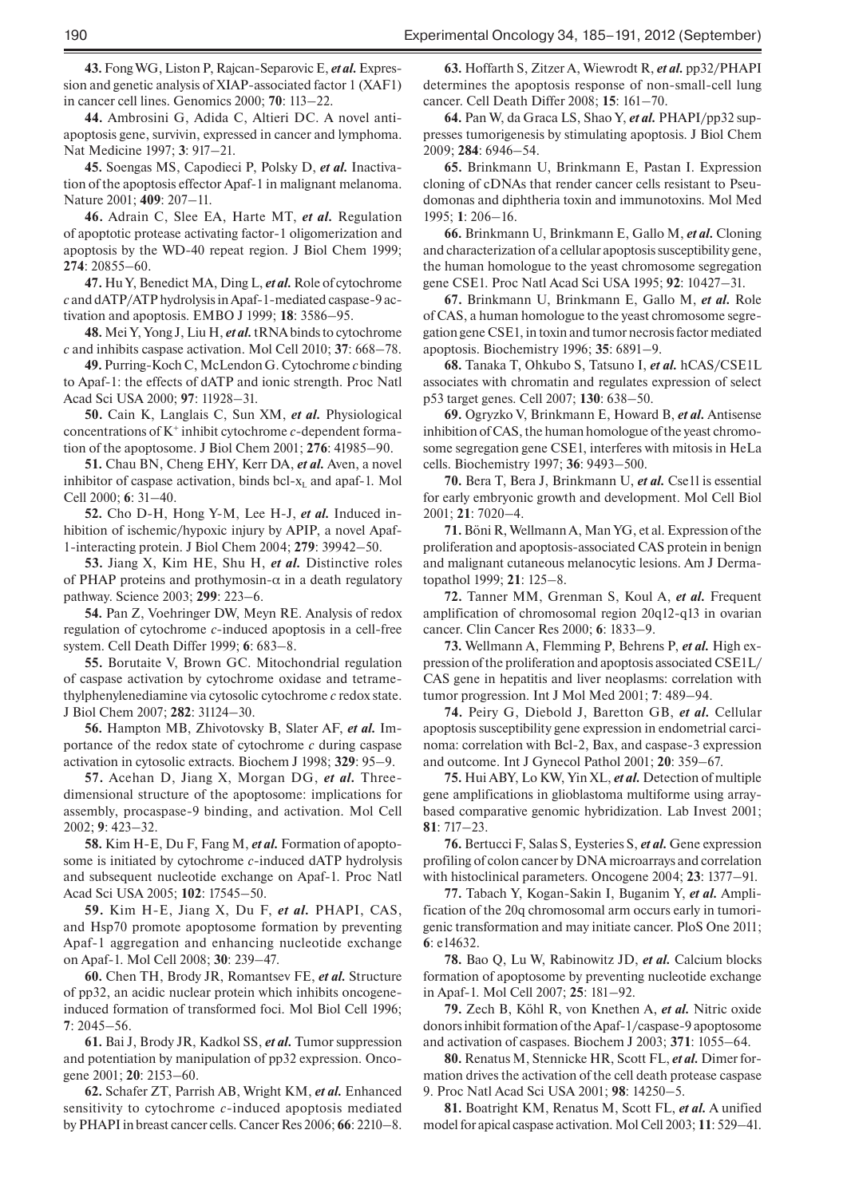**43.** Fong WG, Liston P, Rajcan-Separovic E, *et al.* Expression and genetic analysis of XIAP-associated factor 1 (XAF1) in cancer cell lines. Genomics 2000; **70**: 113–22.

**44.** Ambrosini G, Adida C, Altieri DC. A novel antiapoptosis gene, survivin, expressed in cancer and lymphoma. Nat Medicine 1997; **3**: 917–21.

**45.** Soengas MS, Capodieci P, Polsky D, *et al.* Inactivation of the apoptosis effector Apaf-1 in malignant melanoma. Nature 2001; **409**: 207–11.

**46.** Adrain C, Slee EA, Harte MT, *et al.* Regulation of apoptotic protease activating factor-1 oligomerization and apoptosis by the WD-40 repeat region. J Biol Chem 1999; **274**: 20855–60.

**47.** Hu Y, Benedict MA, Ding L, *et al.* Role of cytochrome *c* and dATP/ATP hydrolysis in Apaf-1-mediated caspase-9 activation and apoptosis. EMBO J 1999; **18**: 3586–95.

**48.** Mei Y, Yong J, Liu H, *et al.* tRNA binds to cytochrome *c* and inhibits caspase activation. Mol Cell 2010; **37**: 668–78.

**49.** Purring-Koch C, McLendon G. Cytochrome *c* binding to Apaf-1: the effects of dATP and ionic strength. Proc Natl Acad Sci USA 2000; **97**: 11928–31.

**50.** Cain K, Langlais C, Sun XM, *et al.* Physiological concentrations of K+ inhibit cytochrome *c*-dependent formation of the apoptosome. J Biol Chem 2001; **276**: 41985–90.

**51.** Chau BN, Cheng EHY, Kerr DA, *et al.* Aven, a novel inhibitor of caspase activation, binds bcl- $x<sub>L</sub>$  and apaf-1. Mol Cell 2000; **6**: 31–40.

**52.** Cho D-H, Hong Y-M, Lee H-J, *et al.* Induced inhibition of ischemic/hypoxic injury by APIP, a novel Apaf-1-interacting protein. J Biol Chem 2004; **279**: 39942–50.

**53.** Jiang X, Kim HE, Shu H, *et al.* Distinctive roles of PHAP proteins and prothymosin- $\alpha$  in a death regulatory pathway. Science 2003; **299**: 223–6.

**54.** Pan Z, Voehringer DW, Meyn RE. Analysis of redox regulation of cytochrome *c*-induced apoptosis in a cell-free system. Cell Death Differ 1999; **6**: 683–8.

**55.** Borutaite V, Brown GC. Mitochondrial regulation of caspase activation by cytochrome oxidase and tetramethylphenylenediamine via cytosolic cytochrome *c* redox state. J Biol Chem 2007; **282**: 31124–30.

**56.** Hampton MB, Zhivotovsky B, Slater AF, *et al.* Importance of the redox state of cytochrome *c* during caspase activation in cytosolic extracts. Biochem J 1998; **329**: 95–9.

**57.** Acehan D, Jiang X, Morgan DG, *et al.* Threedimensional structure of the apoptosome: implications for assembly, procaspase-9 binding, and activation. Mol Cell 2002; **9**: 423–32.

**58.** Kim H-E, Du F, Fang M, *et al.* Formation of apoptosome is initiated by cytochrome *c*-induced dATP hydrolysis and subsequent nucleotide exchange on Apaf-1. Proc Natl Acad Sci USA 2005; **102**: 17545–50.

**59.** Kim H-E, Jiang X, Du F, *et al.* PHAPI, CAS, and Hsp70 promote apoptosome formation by preventing Apaf-1 aggregation and enhancing nucleotide exchange on Apaf-1. Mol Cell 2008; **30**: 239–47.

**60.** Chen TH, Brody JR, Romantsev FE, *et al.* Structure of pp32, an acidic nuclear protein which inhibits oncogeneinduced formation of transformed foci. Mol Biol Cell 1996; **7**: 2045–56.

**61.** Bai J, Brody JR, Kadkol SS, *et al.* Tumor suppression and potentiation by manipulation of pp32 expression. Oncogene 2001; **20**: 2153–60.

**62.** Schafer ZT, Parrish AB, Wright KM, *et al.* Enhanced sensitivity to cytochrome *c*-induced apoptosis mediated by PHAPI in breast cancer cells. Cancer Res 2006; **66**: 2210–8.

**63.** Hoffarth S, Zitzer A, Wiewrodt R, *et al.* pp32/PHAPI determines the apoptosis response of non-small-cell lung cancer. Cell Death Differ 2008; **15**: 161–70.

**64.** Pan W, da Graca LS, Shao Y, *et al.* PHAPI/pp32 suppresses tumorigenesis by stimulating apoptosis. J Biol Chem 2009; **284**: 6946–54.

**65.** Brinkmann U, Brinkmann E, Pastan I. Expression cloning of cDNAs that render cancer cells resistant to Pseudomonas and diphtheria toxin and immunotoxins. Mol Med 1995; **1**: 206–16.

**66.** Brinkmann U, Brinkmann E, Gallo M, *et al.* Cloning and characterization of a cellular apoptosis susceptibility gene, the human homologue to the yeast chromosome segregation gene CSE1. Proc Natl Acad Sci USA 1995; **92**: 10427–31.

**67.** Brinkmann U, Brinkmann E, Gallo M, *et al.* Role of CAS, a human homologue to the yeast chromosome segregation gene CSE1, in toxin and tumor necrosis factor mediated apoptosis. Biochemistry 1996; **35**: 6891–9.

**68.** Tanaka T, Ohkubo S, Tatsuno I, *et al.* hCAS/CSE1L associates with chromatin and regulates expression of select p53 target genes. Cell 2007; **130**: 638–50.

**69.** Ogryzko V, Brinkmann E, Howard B, *et al.* Antisense inhibition of CAS, the human homologue of the yeast chromosome segregation gene CSE1, interferes with mitosis in HeLa cells. Biochemistry 1997; **36**: 9493–500.

**70.** Bera T, Bera J, Brinkmann U, *et al.* Cse1l is essential for early embryonic growth and development. Mol Cell Biol 2001; **21**: 7020–4.

**71.** Böni R, Wellmann A, Man YG, et al. Expression of the proliferation and apoptosis-associated CAS protein in benign and malignant cutaneous melanocytic lesions. Am J Dermatopathol 1999; **21**: 125–8.

**72.** Tanner MM, Grenman S, Koul A, *et al.* Frequent amplification of chromosomal region 20q12-q13 in ovarian cancer. Clin Cancer Res 2000; **6**: 1833–9.

**73.** Wellmann A, Flemming P, Behrens P, *et al.* High expression of the proliferation and apoptosis associated CSE1L/ CAS gene in hepatitis and liver neoplasms: correlation with tumor progression. Int J Mol Med 2001; **7**: 489–94.

**74.** Peirу G, Diebold J, Baretton GB, *et al.* Cellular apoptosis susceptibility gene expression in endometrial carcinoma: correlation with Bcl-2, Bax, and caspase-3 expression and outcome. Int J Gynecol Pathol 2001; **20**: 359–67.

**75.** Hui ABY, Lo KW, Yin XL, *et al.* Detection of multiple gene amplifications in glioblastoma multiforme using arraybased comparative genomic hybridization. Lab Invest 2001; **81**: 717–23.

**76.** Bertucci F, Salas S, Eysteries S, *et al.* Gene expression profiling of colon cancer by DNA microarrays and correlation with histoclinical parameters. Oncogene 2004; **23**: 1377–91.

**77.** Tabach Y, Kogan-Sakin I, Buganim Y, *et al.* Amplification of the 20q chromosomal arm occurs early in tumorigenic transformation and may initiate cancer. PloS One 2011; **6**: e14632.

**78.** Bao Q, Lu W, Rabinowitz JD, *et al.* Calcium blocks formation of apoptosome by preventing nucleotide exchange in Apaf-1. Mol Cell 2007; **25**: 181–92.

**79.** Zech B, Köhl R, von Knethen A, *et al.* Nitric oxide donors inhibit formation of the Apaf-1/caspase-9 apoptosome and activation of caspases. Biochem J 2003; **371**: 1055–64.

**80.** Renatus M, Stennicke HR, Scott FL, *et al.* Dimer formation drives the activation of the cell death protease caspase 9. Proc Natl Acad Sci USA 2001; **98**: 14250–5.

**81.** Boatright KM, Renatus M, Scott FL, *et al.* A unified model for apical caspase activation. Mol Cell 2003; **11**: 529–41.